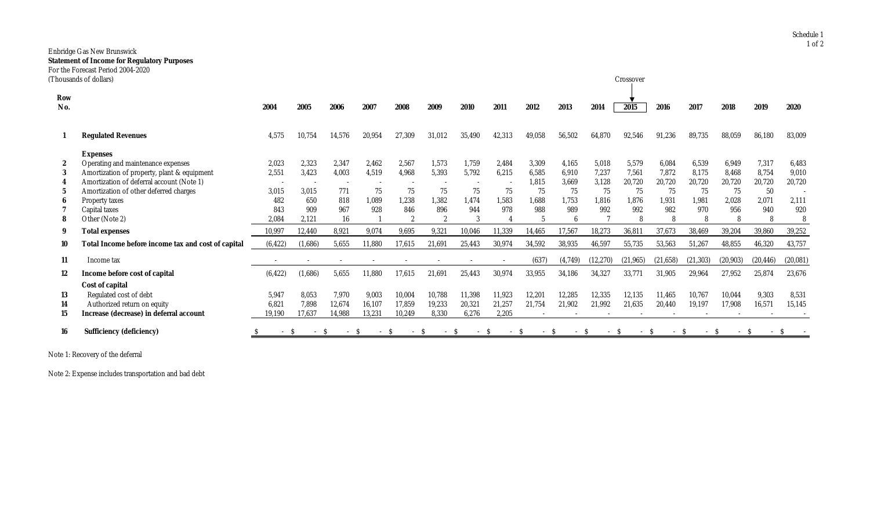## Enbridge Gas New Brunswick **Statement of Income for Regulatory Purposes** For the Forecast Period 2004-2020<br>(Thousands of dollars)

|                  | Thousands of dollars)                              |          |         |        |        |        |        |        |        |                |         |           | Crossover    |           |           |           |           |              |
|------------------|----------------------------------------------------|----------|---------|--------|--------|--------|--------|--------|--------|----------------|---------|-----------|--------------|-----------|-----------|-----------|-----------|--------------|
| Row<br>No.       |                                                    | 2004     | 2005    | 2006   | 2007   | 2008   | 2009   | 2010   | 2011   | 2012           | 2013    | 2014      | 2015         | 2016      | 2017      | 2018      | 2019      | 2020         |
|                  | <b>Regulated Revenues</b>                          | 4,575    | 10.754  | 14,576 | 20,954 | 27,309 | 31,012 | 35,490 | 42,313 | 49,058         | 56,502  | 64,870    | 92,546       | 91,236    | 89,735    | 88,059    | 86,180    | 83,009       |
|                  | <b>Expenses</b>                                    |          |         |        |        |        |        |        |        |                |         |           |              |           |           |           |           |              |
| $\boldsymbol{2}$ | Operating and maintenance expenses                 | 2,023    | 2,323   | 2,347  | 2,462  | 2.567  | 1,573  | 1.759  | 2.484  | 3,309          | 4.165   | 5,018     | 5,579        | 6.084     | 6,539     | 6.949     | 7,317     | 6,483        |
| 3                | Amortization of property, plant & equipment        | 2,551    | 3,423   | 4,003  | 4,519  | 4.968  | 5,393  | 5,792  | 6,215  | 6,585          | 6.910   | 7.237     | 7.561        | 7,872     | 8,175     | 8.468     | 8,754     | 9.010        |
|                  | Amortization of deferral account (Note 1)          |          |         |        |        |        |        |        |        | 1,815          | 3,669   | 3,128     | 20,720       | 20,720    | 20,720    | 20,720    | 20,720    | 20,720       |
|                  | Amortization of other deferred charges             | 3,015    | 3.015   | 771    | 75     | 75     | 75     | 75     | 75     | 75             | 75      | 75        | 75           | 75        | 75        | 75        | 50        |              |
|                  | Property taxes                                     | 482      | 650     | 818    | 1,089  | 1.238  | 1,382  | 1.474  | 1.583  | 1,688          | 1.753   | 1.816     | 1.876        | 1.931     | 1,981     | 2.028     | 2,071     | 2,111        |
|                  | Capital taxes                                      | 843      | 909     | 967    | 928    | 846    | 896    | 944    | 978    | 988            | 989     | 992       | 992          | 982       | 970       | 956       | 940       | 920          |
|                  | Other (Note 2)                                     | 2.084    | 2.121   | 16     |        | - 2    | റ      |        |        | $\overline{5}$ |         |           | $\mathbf{8}$ | 8         | 8         |           | 8         |              |
| 9                | <b>Total expenses</b>                              | 10,997   | 12,440  | 8,921  | 9,074  | 9,695  | 9,321  | 10,046 | 11,339 | 14,465         | 17,567  | 18,273    | 36,811       | 37,673    | 38,469    | 39,204    | 39,860    | 39,252       |
| 10               | Total Income before income tax and cost of capital | (6, 422) | (1,686) | 5,655  | 11,880 | 17,615 | 21,691 | 25,443 | 30,974 | 34,592         | 38,935  | 46,597    | 55,735       | 53,563    | 51,267    | 48,855    | 46,320    | 43,757       |
| 11               | Income tax                                         |          |         |        |        |        |        |        |        | (637)          | (4,749) | (12, 270) | (21, 965)    | (21, 658) | (21, 303) | (20, 903) | (20, 446) | (20, 081)    |
| 12               | Income before cost of capital                      | (6, 422) | (1,686) | 5,655  | 11,880 | 17,615 | 21,691 | 25,443 | 30,974 | 33,955         | 34,186  | 34,327    | 33,771       | 31,905    | 29,964    | 27,952    | 25,874    | 23,676       |
|                  | Cost of capital                                    |          |         |        |        |        |        |        |        |                |         |           |              |           |           |           |           |              |
| 13               | Regulated cost of debt                             | 5,947    | 8.053   | 7,970  | 9,003  | 10,004 | 10,788 | 11,398 | 11,923 | 12,201         | 12,285  | 12,335    | 12,135       | 11,465    | 10,767    | 10.044    | 9,303     | 8,531        |
| 14               | Authorized return on equity                        | 6,821    | 7.898   | 12,674 | 16,107 | 17.859 | 19,233 | 20,321 | 21,257 | 21,754         | 21,902  | 21,992    | 21,635       | 20,440    | 19,197    | 17,908    | 16,571    | 15,145       |
| 15               | Increase (decrease) in deferral account            | 19,190   | 17,637  | 14,988 | 13,231 | 10,249 | 8,330  | 6,276  | 2,205  |                |         |           |              |           |           |           |           |              |
| 16               | <b>Sufficiency (deficiency)</b>                    |          |         |        | -S     |        |        |        | $\sim$ |                |         | -S        |              | $\sim$    |           |           |           | <sup>S</sup> |

Note 1: Recovery of the deferral

Note 2: Expense includes transportation and bad debt